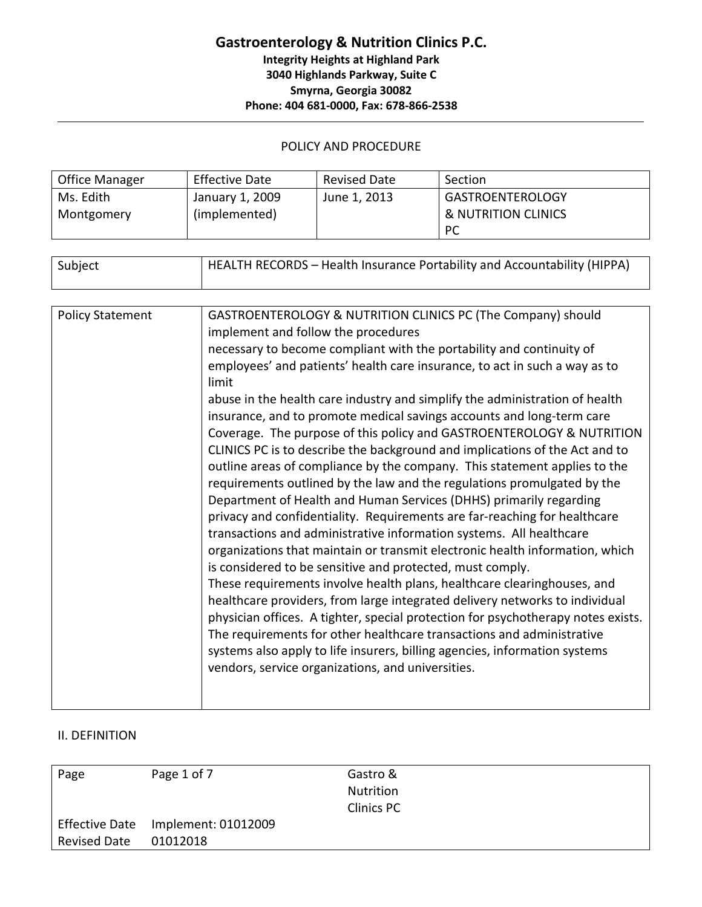## **Gastroenterology & Nutrition Clinics P.C. Integrity Heights at Highland Park 3040 Highlands Parkway, Suite C Smyrna, Georgia 30082 Phone: 404 681-0000, Fax: 678-866-2538**

#### POLICY AND PROCEDURE

| <b>Office Manager</b> | <b>Effective Date</b> | <b>Revised Date</b> | Section                 |
|-----------------------|-----------------------|---------------------|-------------------------|
| Ms. Edith `           | January 1, 2009       | June 1, 2013        | <b>GASTROENTEROLOGY</b> |
| Montgomery            | (implemented)         |                     | & NUTRITION CLINICS     |
|                       |                       |                     | <b>PC</b>               |

| Subject                 | HEALTH RECORDS - Health Insurance Portability and Accountability (HIPPA)            |
|-------------------------|-------------------------------------------------------------------------------------|
|                         |                                                                                     |
| <b>Policy Statement</b> | GASTROENTEROLOGY & NUTRITION CLINICS PC (The Company) should                        |
|                         | implement and follow the procedures                                                 |
|                         | necessary to become compliant with the portability and continuity of                |
|                         | employees' and patients' health care insurance, to act in such a way as to<br>limit |
|                         | abuse in the health care industry and simplify the administration of health         |
|                         | insurance, and to promote medical savings accounts and long-term care               |
|                         | Coverage. The purpose of this policy and GASTROENTEROLOGY & NUTRITION               |
|                         | CLINICS PC is to describe the background and implications of the Act and to         |
|                         | outline areas of compliance by the company. This statement applies to the           |
|                         | requirements outlined by the law and the regulations promulgated by the             |
|                         | Department of Health and Human Services (DHHS) primarily regarding                  |
|                         | privacy and confidentiality. Requirements are far-reaching for healthcare           |
|                         | transactions and administrative information systems. All healthcare                 |
|                         | organizations that maintain or transmit electronic health information, which        |
|                         | is considered to be sensitive and protected, must comply.                           |
|                         | These requirements involve health plans, healthcare clearinghouses, and             |
|                         | healthcare providers, from large integrated delivery networks to individual         |
|                         | physician offices. A tighter, special protection for psychotherapy notes exists.    |
|                         | The requirements for other healthcare transactions and administrative               |
|                         | systems also apply to life insurers, billing agencies, information systems          |
|                         | vendors, service organizations, and universities.                                   |
|                         |                                                                                     |

#### II. DEFINITION

| Page                | Page 1 of 7                        | Gastro &<br>Nutrition |
|---------------------|------------------------------------|-----------------------|
|                     |                                    | <b>Clinics PC</b>     |
|                     | Effective Date Implement: 01012009 |                       |
| <b>Revised Date</b> | 01012018                           |                       |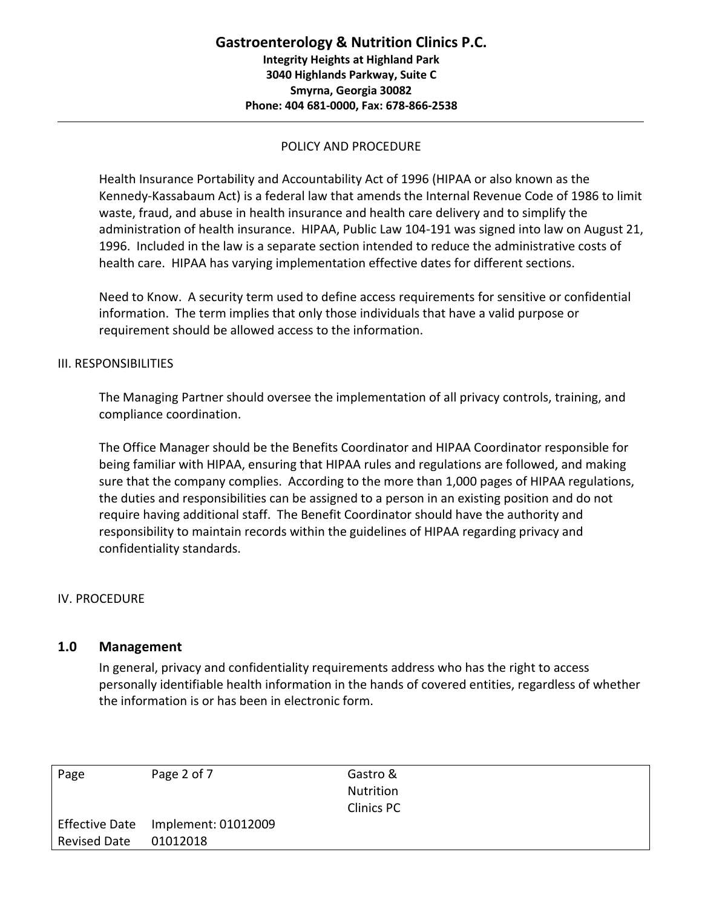Health Insurance Portability and Accountability Act of 1996 (HIPAA or also known as the Kennedy-Kassabaum Act) is a federal law that amends the Internal Revenue Code of 1986 to limit waste, fraud, and abuse in health insurance and health care delivery and to simplify the administration of health insurance. HIPAA, Public Law 104-191 was signed into law on August 21, 1996. Included in the law is a separate section intended to reduce the administrative costs of health care. HIPAA has varying implementation effective dates for different sections.

Need to Know. A security term used to define access requirements for sensitive or confidential information. The term implies that only those individuals that have a valid purpose or requirement should be allowed access to the information.

#### III. RESPONSIBILITIES

The Managing Partner should oversee the implementation of all privacy controls, training, and compliance coordination.

The Office Manager should be the Benefits Coordinator and HIPAA Coordinator responsible for being familiar with HIPAA, ensuring that HIPAA rules and regulations are followed, and making sure that the company complies. According to the more than 1,000 pages of HIPAA regulations, the duties and responsibilities can be assigned to a person in an existing position and do not require having additional staff. The Benefit Coordinator should have the authority and responsibility to maintain records within the guidelines of HIPAA regarding privacy and confidentiality standards.

#### IV. PROCEDURE

#### **1.0 Management**

In general, privacy and confidentiality requirements address who has the right to access personally identifiable health information in the hands of covered entities, regardless of whether the information is or has been in electronic form.

| Page                | Page 2 of 7         | Gastro &          |
|---------------------|---------------------|-------------------|
|                     |                     | Nutrition         |
|                     |                     | <b>Clinics PC</b> |
| Effective Date      | Implement: 01012009 |                   |
| <b>Revised Date</b> | 01012018            |                   |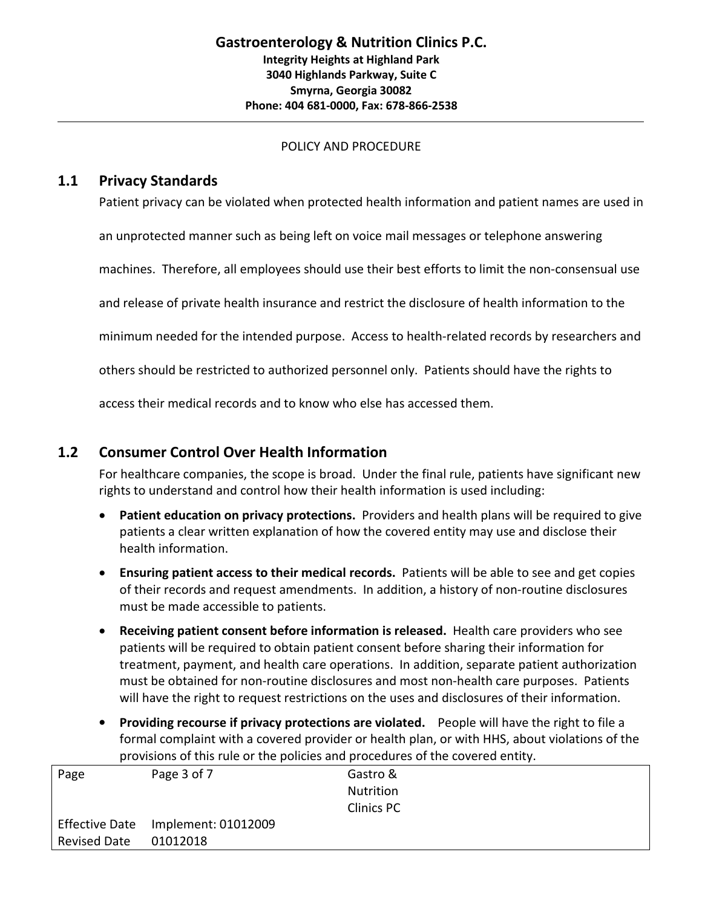## **1.1 Privacy Standards**

Patient privacy can be violated when protected health information and patient names are used in

an unprotected manner such as being left on voice mail messages or telephone answering

machines. Therefore, all employees should use their best efforts to limit the non-consensual use

and release of private health insurance and restrict the disclosure of health information to the

minimum needed for the intended purpose. Access to health-related records by researchers and

others should be restricted to authorized personnel only. Patients should have the rights to

access their medical records and to know who else has accessed them.

## **1.2 Consumer Control Over Health Information**

For healthcare companies, the scope is broad. Under the final rule, patients have significant new rights to understand and control how their health information is used including:

- **Patient education on privacy protections.** Providers and health plans will be required to give patients a clear written explanation of how the covered entity may use and disclose their health information.
- **Ensuring patient access to their medical records.** Patients will be able to see and get copies of their records and request amendments. In addition, a history of non-routine disclosures must be made accessible to patients.
- **Receiving patient consent before information is released.** Health care providers who see patients will be required to obtain patient consent before sharing their information for treatment, payment, and health care operations. In addition, separate patient authorization must be obtained for non-routine disclosures and most non-health care purposes. Patients will have the right to request restrictions on the uses and disclosures of their information.
- **Providing recourse if privacy protections are violated.** People will have the right to file a formal complaint with a covered provider or health plan, or with HHS, about violations of the provisions of this rule or the policies and procedures of the covered entity.

| Page                | Page 3 of 7                        | Gastro &          |
|---------------------|------------------------------------|-------------------|
|                     |                                    | Nutrition         |
|                     |                                    | <b>Clinics PC</b> |
|                     | Effective Date Implement: 01012009 |                   |
| <b>Revised Date</b> | 01012018                           |                   |
|                     |                                    |                   |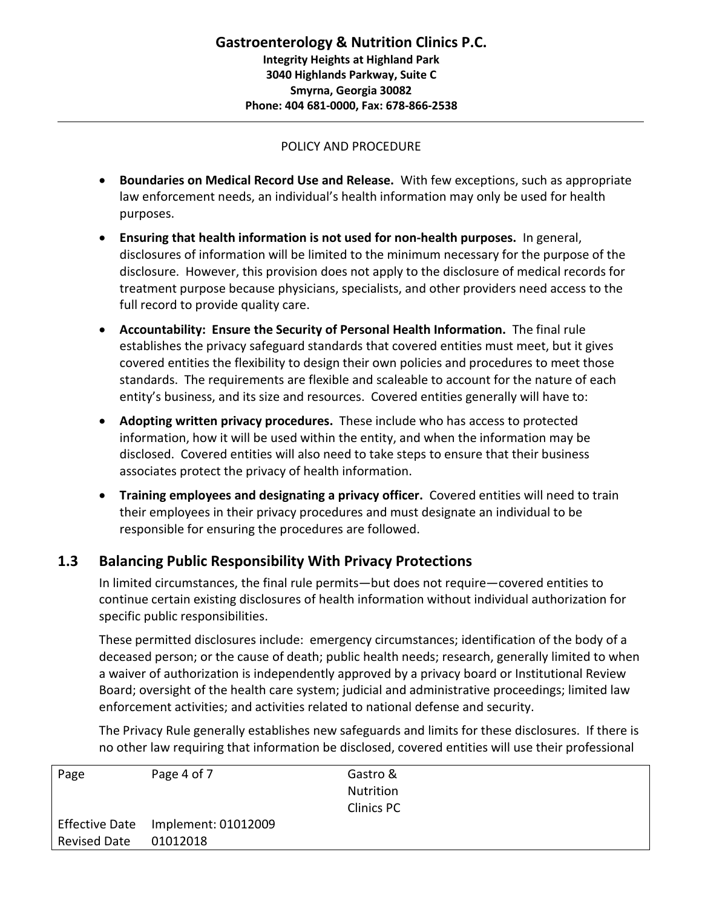- **Boundaries on Medical Record Use and Release.** With few exceptions, such as appropriate law enforcement needs, an individual's health information may only be used for health purposes.
- **Ensuring that health information is not used for non-health purposes.** In general, disclosures of information will be limited to the minimum necessary for the purpose of the disclosure. However, this provision does not apply to the disclosure of medical records for treatment purpose because physicians, specialists, and other providers need access to the full record to provide quality care.
- **Accountability: Ensure the Security of Personal Health Information.** The final rule establishes the privacy safeguard standards that covered entities must meet, but it gives covered entities the flexibility to design their own policies and procedures to meet those standards. The requirements are flexible and scaleable to account for the nature of each entity's business, and its size and resources. Covered entities generally will have to:
- **Adopting written privacy procedures.** These include who has access to protected information, how it will be used within the entity, and when the information may be disclosed. Covered entities will also need to take steps to ensure that their business associates protect the privacy of health information.
- **Training employees and designating a privacy officer.** Covered entities will need to train their employees in their privacy procedures and must designate an individual to be responsible for ensuring the procedures are followed.

# **1.3 Balancing Public Responsibility With Privacy Protections**

In limited circumstances, the final rule permits—but does not require—covered entities to continue certain existing disclosures of health information without individual authorization for specific public responsibilities.

These permitted disclosures include: emergency circumstances; identification of the body of a deceased person; or the cause of death; public health needs; research, generally limited to when a waiver of authorization is independently approved by a privacy board or Institutional Review Board; oversight of the health care system; judicial and administrative proceedings; limited law enforcement activities; and activities related to national defense and security.

The Privacy Rule generally establishes new safeguards and limits for these disclosures. If there is no other law requiring that information be disclosed, covered entities will use their professional

| Page                  | Page 4 of 7         | Gastro &         |
|-----------------------|---------------------|------------------|
|                       |                     | <b>Nutrition</b> |
|                       |                     | Clinics PC       |
| <b>Effective Date</b> | Implement: 01012009 |                  |
| <b>Revised Date</b>   | 01012018            |                  |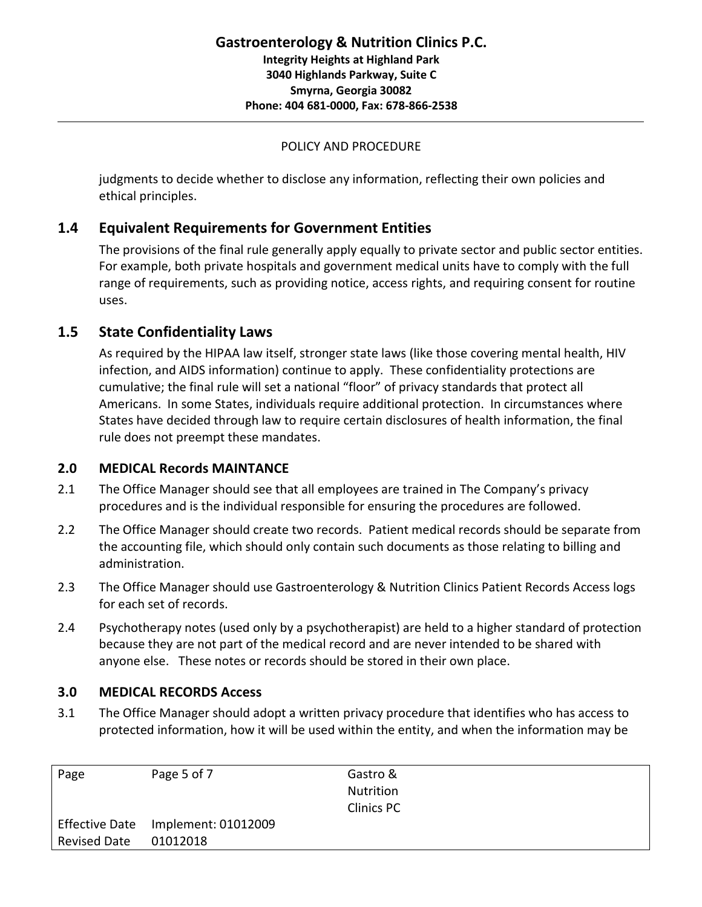judgments to decide whether to disclose any information, reflecting their own policies and ethical principles.

# **1.4 Equivalent Requirements for Government Entities**

The provisions of the final rule generally apply equally to private sector and public sector entities. For example, both private hospitals and government medical units have to comply with the full range of requirements, such as providing notice, access rights, and requiring consent for routine uses.

# **1.5 State Confidentiality Laws**

As required by the HIPAA law itself, stronger state laws (like those covering mental health, HIV infection, and AIDS information) continue to apply. These confidentiality protections are cumulative; the final rule will set a national "floor" of privacy standards that protect all Americans. In some States, individuals require additional protection. In circumstances where States have decided through law to require certain disclosures of health information, the final rule does not preempt these mandates.

# **2.0 MEDICAL Records MAINTANCE**

- 2.1 The Office Manager should see that all employees are trained in The Company's privacy procedures and is the individual responsible for ensuring the procedures are followed.
- 2.2 The Office Manager should create two records. Patient medical records should be separate from the accounting file, which should only contain such documents as those relating to billing and administration.
- 2.3 The Office Manager should use Gastroenterology & Nutrition Clinics Patient Records Access logs for each set of records.
- 2.4 Psychotherapy notes (used only by a psychotherapist) are held to a higher standard of protection because they are not part of the medical record and are never intended to be shared with anyone else. These notes or records should be stored in their own place.

# **3.0 MEDICAL RECORDS Access**

3.1 The Office Manager should adopt a written privacy procedure that identifies who has access to protected information, how it will be used within the entity, and when the information may be

| Page                | Page 5 of 7                        | Gastro &<br><b>Nutrition</b> |
|---------------------|------------------------------------|------------------------------|
|                     |                                    | Clinics PC                   |
|                     | Effective Date Implement: 01012009 |                              |
| <b>Revised Date</b> | 01012018                           |                              |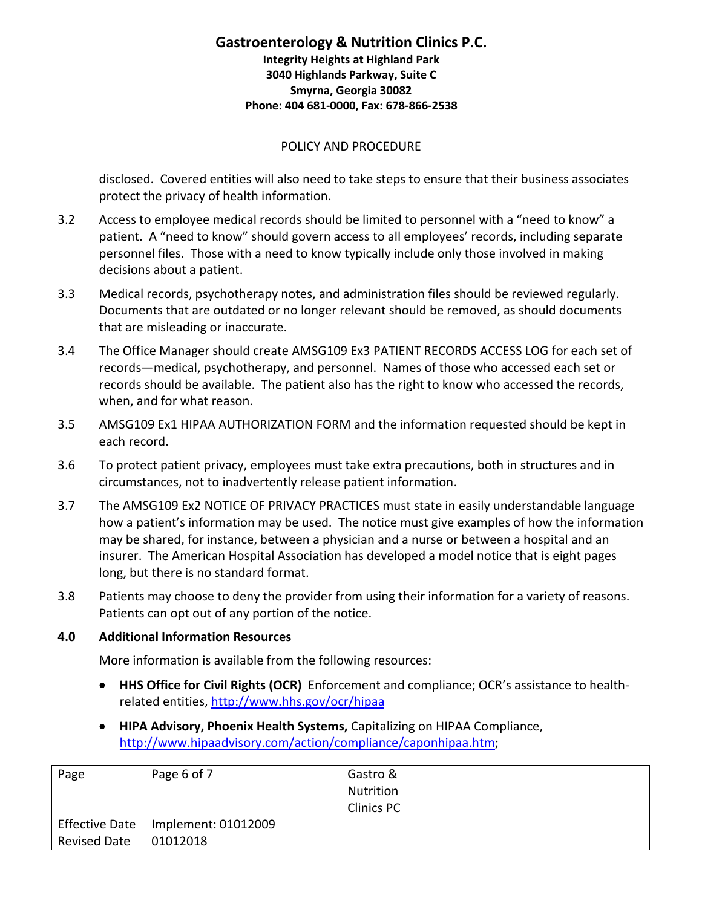disclosed. Covered entities will also need to take steps to ensure that their business associates protect the privacy of health information.

- 3.2 Access to employee medical records should be limited to personnel with a "need to know" a patient. A "need to know" should govern access to all employees' records, including separate personnel files. Those with a need to know typically include only those involved in making decisions about a patient.
- 3.3 Medical records, psychotherapy notes, and administration files should be reviewed regularly. Documents that are outdated or no longer relevant should be removed, as should documents that are misleading or inaccurate.
- 3.4 The Office Manager should create AMSG109 Ex3 PATIENT RECORDS ACCESS LOG for each set of records—medical, psychotherapy, and personnel. Names of those who accessed each setor records should be available. The patient also has the right to know who accessed the records, when, and for what reason.
- 3.5 AMSG109 Ex1 HIPAA AUTHORIZATION FORM and the information requested should be kept in each record.
- 3.6 To protect patient privacy, employees must take extra precautions, both in structures and in circumstances, not to inadvertently release patient information.
- 3.7 The AMSG109 Ex2 NOTICE OF PRIVACY PRACTICES must state in easily understandable language how a patient's information may be used. The notice must give examples of how the information may be shared, for instance, between a physician and a nurse or between a hospital and an insurer. The American Hospital Association has developed a model notice that is eight pages long, but there is no standard format.
- 3.8 Patients may choose to deny the provider from using their information for a variety of reasons. Patients can opt out of any portion of the notice.

#### **4.0 Additional Information Resources**

More information is available from the following resources:

- **HHS Office for Civil Rights (OCR)** Enforcement and compliance; OCR's assistance to health related entities, <http://www.hhs.gov/ocr/hipaa>
- **HIPA Advisory, Phoenix Health Systems,** Capitalizing on HIPAA Compliance, [http://www.hipaadvisory.com/action/compliance/caponhipaa.htm;](http://www.hipaadvisory.com/action/compliance/caponhipaa.htm)

| Page                | Page 6 of 7                        | Gastro &          |
|---------------------|------------------------------------|-------------------|
|                     |                                    | Nutrition         |
|                     |                                    | <b>Clinics PC</b> |
|                     | Effective Date Implement: 01012009 |                   |
| <b>Revised Date</b> | 01012018                           |                   |